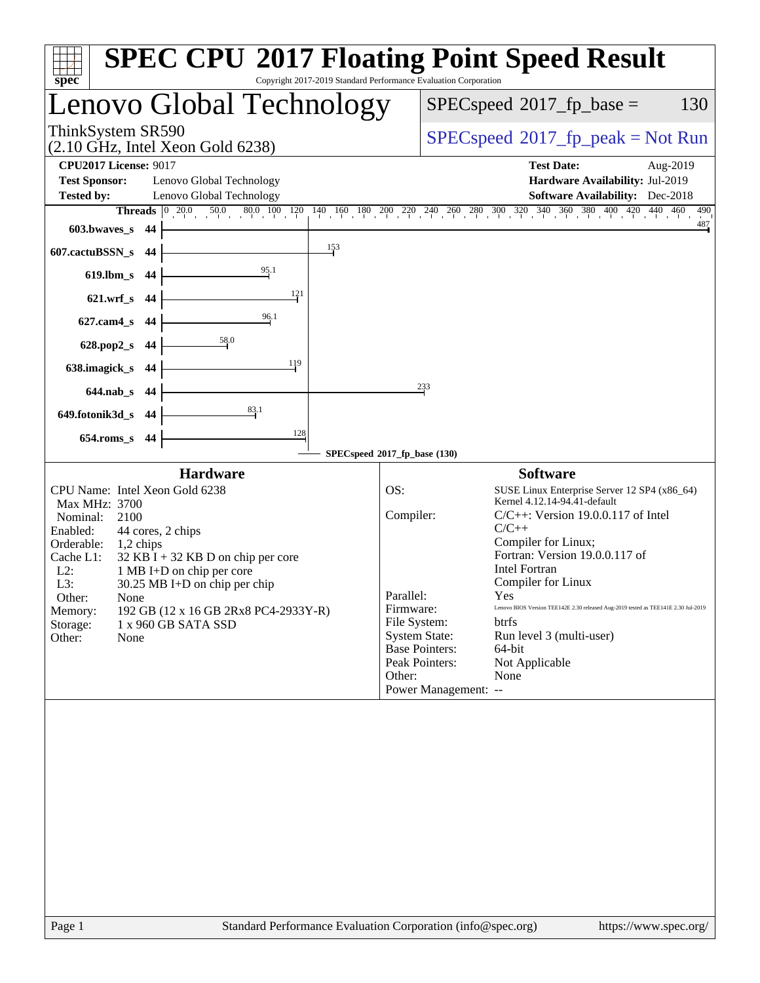| Copyright 2017-2019 Standard Performance Evaluation Corporation<br>spec <sup>®</sup>                                                                                                                                                                                                                                                                                                                             | <b>SPEC CPU®2017 Floating Point Speed Result</b>                                                                                                                                                                                                                                                                                                                                                                                                                                                                                                                                                                                                                                                                                                                                                                                                                    |
|------------------------------------------------------------------------------------------------------------------------------------------------------------------------------------------------------------------------------------------------------------------------------------------------------------------------------------------------------------------------------------------------------------------|---------------------------------------------------------------------------------------------------------------------------------------------------------------------------------------------------------------------------------------------------------------------------------------------------------------------------------------------------------------------------------------------------------------------------------------------------------------------------------------------------------------------------------------------------------------------------------------------------------------------------------------------------------------------------------------------------------------------------------------------------------------------------------------------------------------------------------------------------------------------|
| Lenovo Global Technology                                                                                                                                                                                                                                                                                                                                                                                         | $SPEC speed^{\circ}2017$ _fp_base =<br>130                                                                                                                                                                                                                                                                                                                                                                                                                                                                                                                                                                                                                                                                                                                                                                                                                          |
| ThinkSystem SR590<br>$(2.10 \text{ GHz}, \text{Intel Xeon Gold } 6238)$                                                                                                                                                                                                                                                                                                                                          | $SPEC speed^{\circ}2017\_fp\_peak = Not Run$                                                                                                                                                                                                                                                                                                                                                                                                                                                                                                                                                                                                                                                                                                                                                                                                                        |
| <b>CPU2017 License: 9017</b><br><b>Test Sponsor:</b><br>Lenovo Global Technology<br><b>Tested by:</b><br>Lenovo Global Technology                                                                                                                                                                                                                                                                                | <b>Test Date:</b><br>Aug-2019<br>Hardware Availability: Jul-2019<br><b>Software Availability:</b> Dec-2018                                                                                                                                                                                                                                                                                                                                                                                                                                                                                                                                                                                                                                                                                                                                                          |
| <b>Threads</b> $\begin{bmatrix} 0 & 20.0 & 50.0 & 80.0 & 100 & 120 \end{bmatrix}$<br>603.bwaves_s 44<br>$\frac{153}{2}$<br>607.cactuBSSN_s 44<br>619.lbm_s 44                                                                                                                                                                                                                                                    | $140 \quad 160 \quad 180 \quad 200 \quad 220 \quad 240 \quad 260 \quad 280 \quad 300 \quad 320 \quad 340 \quad 360 \quad 380 \quad 400 \quad 420 \quad 440 \quad 460 \quad 100 \quad 420 \quad 440 \quad 460 \quad 450 \quad 460 \quad 470 \quad 480 \quad 490 \quad 490 \quad 400 \quad 400 \quad 400 \quad 400 \quad 400 \quad 410 \quad 420 \quad 440 \quad 460 \quad 460 \$<br>490<br>487                                                                                                                                                                                                                                                                                                                                                                                                                                                                       |
| 121<br>$621.wrf$ <sub>S</sub> 44<br>$\frac{96.1}{9}$<br>$627$ .cam4_s 44<br>628.pop2_s 44                                                                                                                                                                                                                                                                                                                        |                                                                                                                                                                                                                                                                                                                                                                                                                                                                                                                                                                                                                                                                                                                                                                                                                                                                     |
| 119<br>638.imagick_s $44$<br>$644.nab_s$ 44<br>83.1<br>649.fotonik3d_s 44<br>$\frac{128}{1}$<br>654.roms_s 44                                                                                                                                                                                                                                                                                                    | 233                                                                                                                                                                                                                                                                                                                                                                                                                                                                                                                                                                                                                                                                                                                                                                                                                                                                 |
| <b>Hardware</b><br>CPU Name: Intel Xeon Gold 6238<br>Max MHz: 3700<br>Nominal:<br>2100<br>Enabled:<br>44 cores, 2 chips<br>Orderable:<br>1,2 chips<br>Cache L1:<br>$32$ KB I + 32 KB D on chip per core<br>$L2$ :<br>1 MB I+D on chip per core<br>L3:<br>30.25 MB I+D on chip per chip<br>Other:<br>None<br>192 GB (12 x 16 GB 2Rx8 PC4-2933Y-R)<br>Memory:<br>1 x 960 GB SATA SSD<br>Storage:<br>Other:<br>None | SPECspeed®2017_fp_base (130)<br><b>Software</b><br>OS:<br>SUSE Linux Enterprise Server 12 SP4 (x86_64)<br>Kernel 4.12.14-94.41-default<br>Compiler:<br>$C/C++$ : Version 19.0.0.117 of Intel<br>$C/C++$<br>Compiler for Linux;<br>Fortran: Version 19.0.0.117 of<br><b>Intel Fortran</b><br>Compiler for Linux<br>Parallel:<br><b>Yes</b> and the set of the set of the set of the set of the set of the set of the set of the set of the set of the set of the set of the set of the set of the set of the set of the set of the set of the set of the set of the<br>Lenovo BIOS Version TEE142E 2.30 released Aug-2019 tested as TEE141E 2.30 Jul-2019<br>Firmware:<br>File System:<br>btrfs<br><b>System State:</b><br>Run level 3 (multi-user)<br>64-bit<br><b>Base Pointers:</b><br>Peak Pointers:<br>Not Applicable<br>Other:<br>None<br>Power Management: -- |
| Standard Performance Evaluation Corporation (info@spec.org)<br>Page 1                                                                                                                                                                                                                                                                                                                                            | https://www.spec.org/                                                                                                                                                                                                                                                                                                                                                                                                                                                                                                                                                                                                                                                                                                                                                                                                                                               |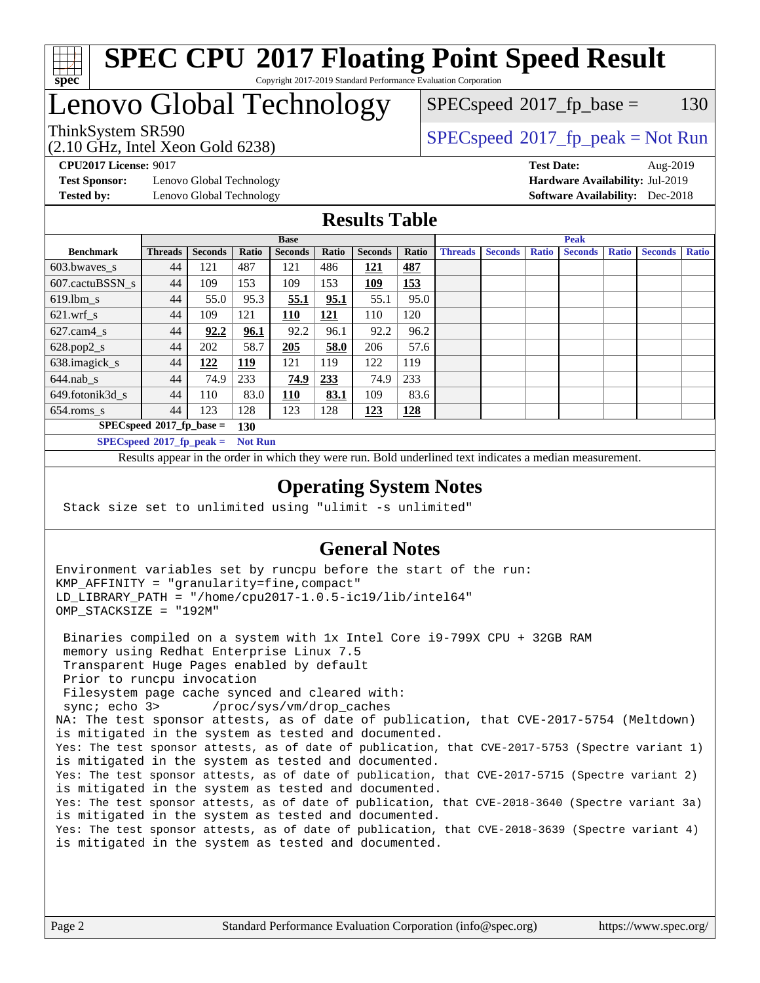

#### **[SPEC CPU](http://www.spec.org/auto/cpu2017/Docs/result-fields.html#SPECCPU2017FloatingPointSpeedResult)[2017 Floating Point Speed Result](http://www.spec.org/auto/cpu2017/Docs/result-fields.html#SPECCPU2017FloatingPointSpeedResult)** Copyright 2017-2019 Standard Performance Evaluation Corporation

## Lenovo Global Technology

(2.10 GHz, Intel Xeon Gold 6238)

 $SPEC speed^{\circ}2017\_fp\_base = 130$ 

### ThinkSystem SR590<br>  $SPEC speed^{\circ}2017$  [p\_peak = Not Run

**[Test Sponsor:](http://www.spec.org/auto/cpu2017/Docs/result-fields.html#TestSponsor)** Lenovo Global Technology **[Hardware Availability:](http://www.spec.org/auto/cpu2017/Docs/result-fields.html#HardwareAvailability)** Jul-2019 **[Tested by:](http://www.spec.org/auto/cpu2017/Docs/result-fields.html#Testedby)** Lenovo Global Technology **[Software Availability:](http://www.spec.org/auto/cpu2017/Docs/result-fields.html#SoftwareAvailability)** Dec-2018

**[CPU2017 License:](http://www.spec.org/auto/cpu2017/Docs/result-fields.html#CPU2017License)** 9017 **[Test Date:](http://www.spec.org/auto/cpu2017/Docs/result-fields.html#TestDate)** Aug-2019

#### **[Results Table](http://www.spec.org/auto/cpu2017/Docs/result-fields.html#ResultsTable)**

|                                               | <b>Base</b>    |                |            |                |            | <b>Peak</b>    |            |                |                |              |                |              |                |              |
|-----------------------------------------------|----------------|----------------|------------|----------------|------------|----------------|------------|----------------|----------------|--------------|----------------|--------------|----------------|--------------|
| <b>Benchmark</b>                              | <b>Threads</b> | <b>Seconds</b> | Ratio      | <b>Seconds</b> | Ratio      | <b>Seconds</b> | Ratio      | <b>Threads</b> | <b>Seconds</b> | <b>Ratio</b> | <b>Seconds</b> | <b>Ratio</b> | <b>Seconds</b> | <b>Ratio</b> |
| 603.bwayes_s                                  | 44             | 121            | 487        | 121            | 486        | 121            | 487        |                |                |              |                |              |                |              |
| 607.cactuBSSN s                               | 44             | 109            | 153        | 109            | 153        | 109            | 153        |                |                |              |                |              |                |              |
| $619.$ lbm s                                  | 44             | 55.0           | 95.3       | 55.1           | 95.1       | 55.1           | 95.0       |                |                |              |                |              |                |              |
| $621.wrf$ s                                   | 44             | 109            | 121        | <u> 110</u>    | <u>121</u> | 110            | 120        |                |                |              |                |              |                |              |
| $627$ .cam $4 \text{ s}$                      | 44             | 92.2           | 96.1       | 92.2           | 96.1       | 92.2           | 96.2       |                |                |              |                |              |                |              |
| $628.pop2_s$                                  | 44             | 202            | 58.7       | 205            | 58.0       | 206            | 57.6       |                |                |              |                |              |                |              |
| 638.imagick_s                                 | 44             | 122            | <u>119</u> | 121            | 119        | 122            | 119        |                |                |              |                |              |                |              |
| $644$ .nab s                                  | 44             | 74.9           | 233        | 74.9           | 233        | 74.9           | 233        |                |                |              |                |              |                |              |
| 649.fotonik3d_s                               | 44             | 110            | 83.0       | 110            | 83.1       | 109            | 83.6       |                |                |              |                |              |                |              |
| $654$ .roms_s                                 | 44             | 123            | 128        | 123            | 128        | 123            | <u>128</u> |                |                |              |                |              |                |              |
| $SPECspeed*2017_fp\_base =$<br><b>130</b>     |                |                |            |                |            |                |            |                |                |              |                |              |                |              |
| $SPECspeed*2017_fp\_peak =$<br><b>Not Run</b> |                |                |            |                |            |                |            |                |                |              |                |              |                |              |

Results appear in the [order in which they were run.](http://www.spec.org/auto/cpu2017/Docs/result-fields.html#RunOrder) Bold underlined text [indicates a median measurement](http://www.spec.org/auto/cpu2017/Docs/result-fields.html#Median).

#### **[Operating System Notes](http://www.spec.org/auto/cpu2017/Docs/result-fields.html#OperatingSystemNotes)**

Stack size set to unlimited using "ulimit -s unlimited"

#### **[General Notes](http://www.spec.org/auto/cpu2017/Docs/result-fields.html#GeneralNotes)**

Environment variables set by runcpu before the start of the run: KMP\_AFFINITY = "granularity=fine,compact" LD\_LIBRARY\_PATH = "/home/cpu2017-1.0.5-ic19/lib/intel64" OMP\_STACKSIZE = "192M"

 Binaries compiled on a system with 1x Intel Core i9-799X CPU + 32GB RAM memory using Redhat Enterprise Linux 7.5 Transparent Huge Pages enabled by default Prior to runcpu invocation Filesystem page cache synced and cleared with: sync; echo 3> /proc/sys/vm/drop\_caches NA: The test sponsor attests, as of date of publication, that CVE-2017-5754 (Meltdown) is mitigated in the system as tested and documented. Yes: The test sponsor attests, as of date of publication, that CVE-2017-5753 (Spectre variant 1) is mitigated in the system as tested and documented. Yes: The test sponsor attests, as of date of publication, that CVE-2017-5715 (Spectre variant 2) is mitigated in the system as tested and documented. Yes: The test sponsor attests, as of date of publication, that CVE-2018-3640 (Spectre variant 3a) is mitigated in the system as tested and documented. Yes: The test sponsor attests, as of date of publication, that CVE-2018-3639 (Spectre variant 4) is mitigated in the system as tested and documented.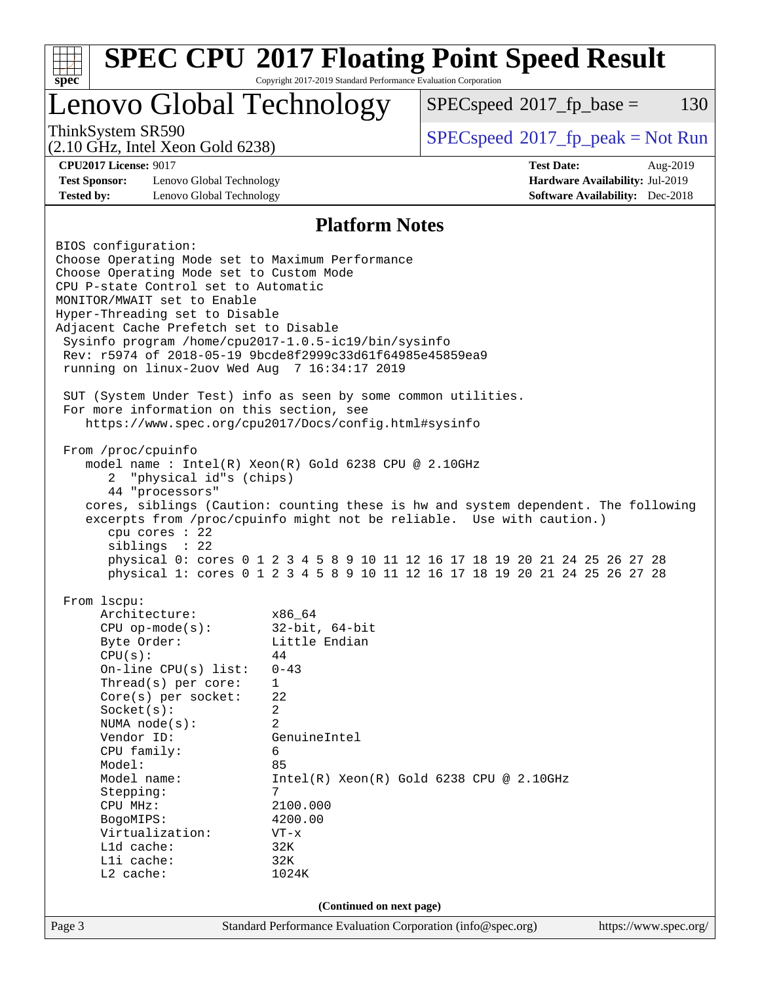| <b>SPEC CPU®2017 Floating Point Speed Result</b><br>Copyright 2017-2019 Standard Performance Evaluation Corporation<br>spec <sup>®</sup>                                                                                                                                                                                                                                                                                                                                                                                                                                                                                                                                                                                                                                                                                                                                                                                           |                                                                                                                                                                                             |                                                                                                                                                            |                                                                           |          |  |  |  |
|------------------------------------------------------------------------------------------------------------------------------------------------------------------------------------------------------------------------------------------------------------------------------------------------------------------------------------------------------------------------------------------------------------------------------------------------------------------------------------------------------------------------------------------------------------------------------------------------------------------------------------------------------------------------------------------------------------------------------------------------------------------------------------------------------------------------------------------------------------------------------------------------------------------------------------|---------------------------------------------------------------------------------------------------------------------------------------------------------------------------------------------|------------------------------------------------------------------------------------------------------------------------------------------------------------|---------------------------------------------------------------------------|----------|--|--|--|
| Lenovo Global Technology                                                                                                                                                                                                                                                                                                                                                                                                                                                                                                                                                                                                                                                                                                                                                                                                                                                                                                           |                                                                                                                                                                                             | $SPEC speed^{\circ}2017$ fp base =                                                                                                                         |                                                                           | 130      |  |  |  |
| ThinkSystem SR590<br>$(2.10 \text{ GHz}, \text{Intel Xeon Gold } 6238)$                                                                                                                                                                                                                                                                                                                                                                                                                                                                                                                                                                                                                                                                                                                                                                                                                                                            |                                                                                                                                                                                             | $SPEC speed^{\circ}2017\_fp\_peak = Not Run$                                                                                                               |                                                                           |          |  |  |  |
| <b>CPU2017 License: 9017</b><br><b>Test Sponsor:</b><br>Lenovo Global Technology<br><b>Tested by:</b><br>Lenovo Global Technology                                                                                                                                                                                                                                                                                                                                                                                                                                                                                                                                                                                                                                                                                                                                                                                                  |                                                                                                                                                                                             | <b>Test Date:</b>                                                                                                                                          | Hardware Availability: Jul-2019<br><b>Software Availability:</b> Dec-2018 | Aug-2019 |  |  |  |
| <b>Platform Notes</b>                                                                                                                                                                                                                                                                                                                                                                                                                                                                                                                                                                                                                                                                                                                                                                                                                                                                                                              |                                                                                                                                                                                             |                                                                                                                                                            |                                                                           |          |  |  |  |
| Choose Operating Mode set to Maximum Performance<br>Choose Operating Mode set to Custom Mode<br>CPU P-state Control set to Automatic<br>MONITOR/MWAIT set to Enable<br>Hyper-Threading set to Disable<br>Adjacent Cache Prefetch set to Disable<br>Sysinfo program /home/cpu2017-1.0.5-ic19/bin/sysinfo<br>Rev: r5974 of 2018-05-19 9bcde8f2999c33d61f64985e45859ea9<br>running on linux-2uov Wed Aug 7 16:34:17 2019<br>SUT (System Under Test) info as seen by some common utilities.<br>For more information on this section, see<br>https://www.spec.org/cpu2017/Docs/config.html#sysinfo<br>From /proc/cpuinfo<br>model name : Intel(R) Xeon(R) Gold 6238 CPU @ 2.10GHz<br>"physical id"s (chips)<br>2<br>44 "processors"<br>cores, siblings (Caution: counting these is hw and system dependent. The following<br>excerpts from /proc/cpuinfo might not be reliable. Use with caution.)<br>cpu cores $: 22$<br>siblings : 22 |                                                                                                                                                                                             | physical 0: cores 0 1 2 3 4 5 8 9 10 11 12 16 17 18 19 20 21 24 25 26 27 28<br>physical 1: cores 0 1 2 3 4 5 8 9 10 11 12 16 17 18 19 20 21 24 25 26 27 28 |                                                                           |          |  |  |  |
| From lscpu:<br>Architecture:<br>$CPU$ op-mode( $s$ ):<br>Byte Order:<br>CPU(s):<br>On-line $CPU(s)$ list:<br>Thread(s) per core:<br>Core(s) per socket:<br>Socket(s):<br>NUMA $node(s)$ :<br>Vendor ID:<br>CPU family:<br>Model:<br>Model name:<br>Stepping:<br>CPU MHz:<br>BogoMIPS:<br>Virtualization:<br>L1d cache:<br>Lli cache:<br>L2 cache:                                                                                                                                                                                                                                                                                                                                                                                                                                                                                                                                                                                  | x86_64<br>$32$ -bit, $64$ -bit<br>Little Endian<br>44<br>$0 - 43$<br>$\mathbf{1}$<br>22<br>2<br>2<br>GenuineIntel<br>6<br>85<br>7<br>2100.000<br>4200.00<br>$VT - x$<br>32K<br>32K<br>1024K | $Intel(R) Xeon(R) Gold 6238 CPU @ 2.10GHz$                                                                                                                 |                                                                           |          |  |  |  |
| (Continued on next page)                                                                                                                                                                                                                                                                                                                                                                                                                                                                                                                                                                                                                                                                                                                                                                                                                                                                                                           |                                                                                                                                                                                             |                                                                                                                                                            |                                                                           |          |  |  |  |
| Page 3                                                                                                                                                                                                                                                                                                                                                                                                                                                                                                                                                                                                                                                                                                                                                                                                                                                                                                                             | Standard Performance Evaluation Corporation (info@spec.org)                                                                                                                                 |                                                                                                                                                            | https://www.spec.org/                                                     |          |  |  |  |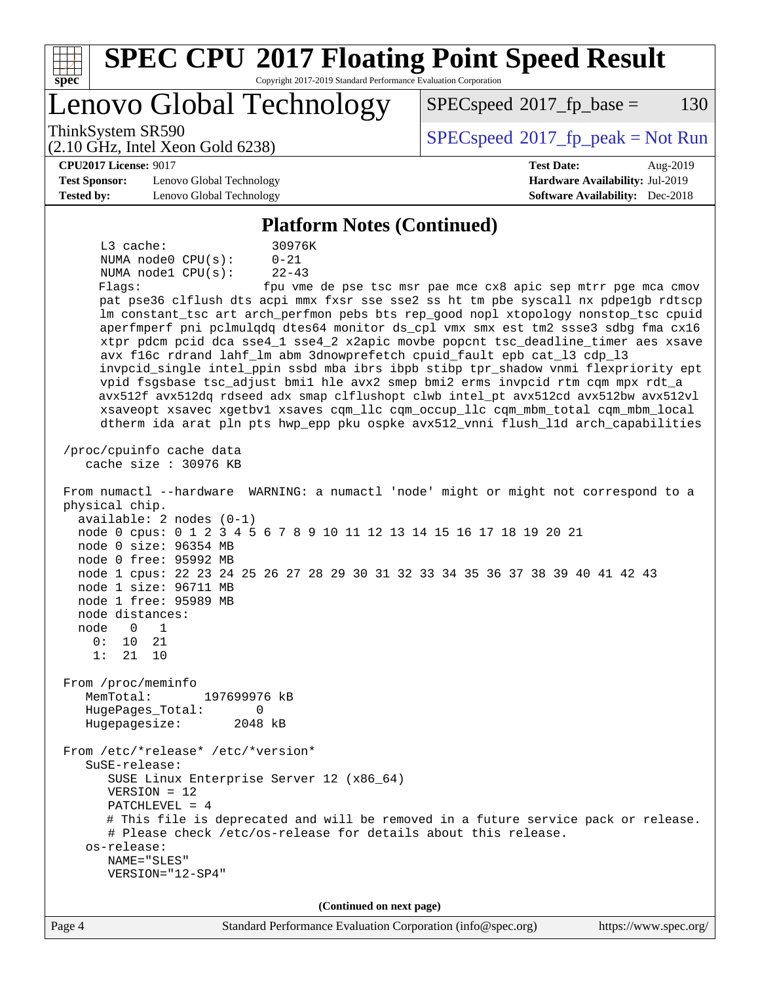| <b>SPEC CPU®2017 Floating Point Speed Result</b><br>Copyright 2017-2019 Standard Performance Evaluation Corporation<br>spec <sup>®</sup>                                                                                                                                                                                                                                                                                                                                                                                                                                                                                                                                                                                                                                                                                                                                                                                                                                                                                                                                                                                                                                                                                                                                                                                                                                                                                                                                                                                                                                                                                                                                                                                                                                                                                                                                                                                                   |                                                               |
|--------------------------------------------------------------------------------------------------------------------------------------------------------------------------------------------------------------------------------------------------------------------------------------------------------------------------------------------------------------------------------------------------------------------------------------------------------------------------------------------------------------------------------------------------------------------------------------------------------------------------------------------------------------------------------------------------------------------------------------------------------------------------------------------------------------------------------------------------------------------------------------------------------------------------------------------------------------------------------------------------------------------------------------------------------------------------------------------------------------------------------------------------------------------------------------------------------------------------------------------------------------------------------------------------------------------------------------------------------------------------------------------------------------------------------------------------------------------------------------------------------------------------------------------------------------------------------------------------------------------------------------------------------------------------------------------------------------------------------------------------------------------------------------------------------------------------------------------------------------------------------------------------------------------------------------------|---------------------------------------------------------------|
| Lenovo Global Technology                                                                                                                                                                                                                                                                                                                                                                                                                                                                                                                                                                                                                                                                                                                                                                                                                                                                                                                                                                                                                                                                                                                                                                                                                                                                                                                                                                                                                                                                                                                                                                                                                                                                                                                                                                                                                                                                                                                   | 130<br>$SPEC speed^{\circ}2017$ _fp_base =                    |
| ThinkSystem SR590<br>$(2.10 \text{ GHz}, \text{Intel Xeon Gold } 6238)$                                                                                                                                                                                                                                                                                                                                                                                                                                                                                                                                                                                                                                                                                                                                                                                                                                                                                                                                                                                                                                                                                                                                                                                                                                                                                                                                                                                                                                                                                                                                                                                                                                                                                                                                                                                                                                                                    | $SPEC speed^{\circ}2017\_fp\_peak = Not Run$                  |
| <b>CPU2017 License: 9017</b>                                                                                                                                                                                                                                                                                                                                                                                                                                                                                                                                                                                                                                                                                                                                                                                                                                                                                                                                                                                                                                                                                                                                                                                                                                                                                                                                                                                                                                                                                                                                                                                                                                                                                                                                                                                                                                                                                                               | <b>Test Date:</b><br>Aug-2019                                 |
| <b>Test Sponsor:</b><br>Lenovo Global Technology                                                                                                                                                                                                                                                                                                                                                                                                                                                                                                                                                                                                                                                                                                                                                                                                                                                                                                                                                                                                                                                                                                                                                                                                                                                                                                                                                                                                                                                                                                                                                                                                                                                                                                                                                                                                                                                                                           | Hardware Availability: Jul-2019                               |
| <b>Tested by:</b><br>Lenovo Global Technology                                                                                                                                                                                                                                                                                                                                                                                                                                                                                                                                                                                                                                                                                                                                                                                                                                                                                                                                                                                                                                                                                                                                                                                                                                                                                                                                                                                                                                                                                                                                                                                                                                                                                                                                                                                                                                                                                              | <b>Software Availability:</b> Dec-2018                        |
| <b>Platform Notes (Continued)</b>                                                                                                                                                                                                                                                                                                                                                                                                                                                                                                                                                                                                                                                                                                                                                                                                                                                                                                                                                                                                                                                                                                                                                                                                                                                                                                                                                                                                                                                                                                                                                                                                                                                                                                                                                                                                                                                                                                          |                                                               |
| 30976K<br>$L3$ cache:<br>NUMA node0 CPU(s):<br>$0 - 21$<br>NUMA nodel CPU(s):<br>$22 - 43$<br>Flaqs:<br>pat pse36 clflush dts acpi mmx fxsr sse sse2 ss ht tm pbe syscall nx pdpe1gb rdtscp<br>lm constant_tsc art arch_perfmon pebs bts rep_good nopl xtopology nonstop_tsc cpuid<br>aperfmperf pni pclmulqdq dtes64 monitor ds_cpl vmx smx est tm2 ssse3 sdbg fma cx16<br>xtpr pdcm pcid dca sse4_1 sse4_2 x2apic movbe popcnt tsc_deadline_timer aes xsave<br>avx f16c rdrand lahf_lm abm 3dnowprefetch cpuid_fault epb cat_13 cdp_13<br>invpcid_single intel_ppin ssbd mba ibrs ibpb stibp tpr_shadow vnmi flexpriority ept<br>vpid fsgsbase tsc_adjust bmil hle avx2 smep bmi2 erms invpcid rtm cqm mpx rdt_a<br>avx512f avx512dq rdseed adx smap clflushopt clwb intel_pt avx512cd avx512bw avx512vl<br>xsaveopt xsavec xgetbvl xsaves cqm_llc cqm_occup_llc cqm_mbm_total cqm_mbm_local<br>dtherm ida arat pln pts hwp_epp pku ospke avx512_vnni flush_lld arch_capabilities<br>/proc/cpuinfo cache data<br>cache size : 30976 KB<br>From numactl --hardware WARNING: a numactl 'node' might or might not correspond to a<br>physical chip.<br>$available: 2 nodes (0-1)$<br>node 0 cpus: 0 1 2 3 4 5 6 7 8 9 10 11 12 13 14 15 16 17 18 19 20 21<br>node 0 size: 96354 MB<br>node 0 free: 95992 MB<br>node 1 cpus: 22 23 24 25 26 27 28 29 30 31 32 33 34 35 36 37 38 39 40 41 42 43<br>node 1 size: 96711 MB<br>node 1 free: 95989 MB<br>node distances:<br>node<br>$\mathbf 0$<br>1<br>0:<br>10<br>21<br>1:<br>21<br>10<br>From /proc/meminfo<br>MemTotal:<br>197699976 kB<br>HugePages_Total:<br>0<br>Hugepagesize:<br>2048 kB<br>From /etc/*release* /etc/*version*<br>SuSE-release:<br>SUSE Linux Enterprise Server 12 (x86_64)<br>$VERSION = 12$<br>PATCHLEVEL = $4$<br># This file is deprecated and will be removed in a future service pack or release.<br># Please check /etc/os-release for details about this release. | fpu vme de pse tsc msr pae mce cx8 apic sep mtrr pge mca cmov |
| os-release:<br>NAME="SLES"                                                                                                                                                                                                                                                                                                                                                                                                                                                                                                                                                                                                                                                                                                                                                                                                                                                                                                                                                                                                                                                                                                                                                                                                                                                                                                                                                                                                                                                                                                                                                                                                                                                                                                                                                                                                                                                                                                                 |                                                               |
| VERSION="12-SP4"                                                                                                                                                                                                                                                                                                                                                                                                                                                                                                                                                                                                                                                                                                                                                                                                                                                                                                                                                                                                                                                                                                                                                                                                                                                                                                                                                                                                                                                                                                                                                                                                                                                                                                                                                                                                                                                                                                                           |                                                               |
| (Continued on next page)                                                                                                                                                                                                                                                                                                                                                                                                                                                                                                                                                                                                                                                                                                                                                                                                                                                                                                                                                                                                                                                                                                                                                                                                                                                                                                                                                                                                                                                                                                                                                                                                                                                                                                                                                                                                                                                                                                                   |                                                               |
| Page 4<br>Standard Performance Evaluation Corporation (info@spec.org)                                                                                                                                                                                                                                                                                                                                                                                                                                                                                                                                                                                                                                                                                                                                                                                                                                                                                                                                                                                                                                                                                                                                                                                                                                                                                                                                                                                                                                                                                                                                                                                                                                                                                                                                                                                                                                                                      | https://www.spec.org/                                         |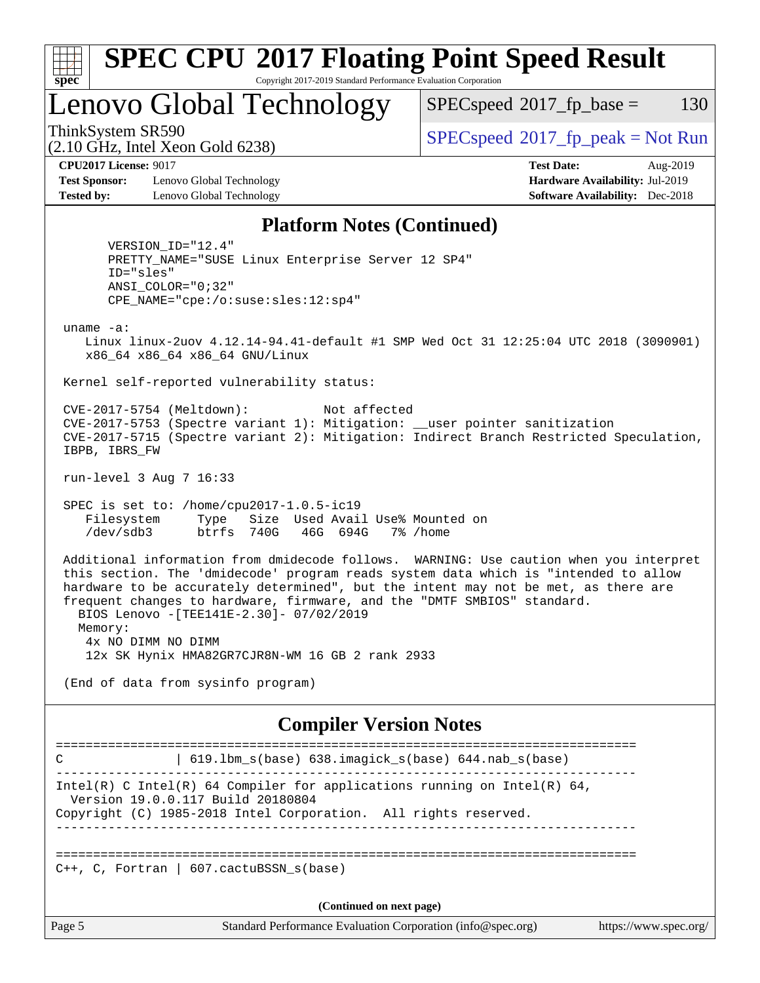

# **[SPEC CPU](http://www.spec.org/auto/cpu2017/Docs/result-fields.html#SPECCPU2017FloatingPointSpeedResult)[2017 Floating Point Speed Result](http://www.spec.org/auto/cpu2017/Docs/result-fields.html#SPECCPU2017FloatingPointSpeedResult)**

Copyright 2017-2019 Standard Performance Evaluation Corporation

### Lenovo Global Technology

 $SPECspeed^{\circledcirc}2017_fp\_base = 130$  $SPECspeed^{\circledcirc}2017_fp\_base = 130$ 

(2.10 GHz, Intel Xeon Gold 6238)

ThinkSystem SR590<br>  $SPECspeed^{\circ}2017\_fp\_peak = Not Run$  $SPECspeed^{\circ}2017\_fp\_peak = Not Run$ 

**[Test Sponsor:](http://www.spec.org/auto/cpu2017/Docs/result-fields.html#TestSponsor)** Lenovo Global Technology **[Hardware Availability:](http://www.spec.org/auto/cpu2017/Docs/result-fields.html#HardwareAvailability)** Jul-2019 **[Tested by:](http://www.spec.org/auto/cpu2017/Docs/result-fields.html#Testedby)** Lenovo Global Technology **[Software Availability:](http://www.spec.org/auto/cpu2017/Docs/result-fields.html#SoftwareAvailability)** Dec-2018

**[CPU2017 License:](http://www.spec.org/auto/cpu2017/Docs/result-fields.html#CPU2017License)** 9017 **[Test Date:](http://www.spec.org/auto/cpu2017/Docs/result-fields.html#TestDate)** Aug-2019

#### **[Platform Notes \(Continued\)](http://www.spec.org/auto/cpu2017/Docs/result-fields.html#PlatformNotes)**

 VERSION\_ID="12.4" PRETTY\_NAME="SUSE Linux Enterprise Server 12 SP4" ID="sles" ANSI\_COLOR="0;32" CPE\_NAME="cpe:/o:suse:sles:12:sp4"

uname -a:

 Linux linux-2uov 4.12.14-94.41-default #1 SMP Wed Oct 31 12:25:04 UTC 2018 (3090901) x86\_64 x86\_64 x86\_64 GNU/Linux

Kernel self-reported vulnerability status:

 CVE-2017-5754 (Meltdown): Not affected CVE-2017-5753 (Spectre variant 1): Mitigation: \_\_user pointer sanitization CVE-2017-5715 (Spectre variant 2): Mitigation: Indirect Branch Restricted Speculation, IBPB, IBRS\_FW

run-level 3 Aug 7 16:33

 SPEC is set to: /home/cpu2017-1.0.5-ic19 Filesystem Type Size Used Avail Use% Mounted on /dev/sdb3 btrfs 740G 46G 694G 7% /home

 Additional information from dmidecode follows. WARNING: Use caution when you interpret this section. The 'dmidecode' program reads system data which is "intended to allow hardware to be accurately determined", but the intent may not be met, as there are frequent changes to hardware, firmware, and the "DMTF SMBIOS" standard. BIOS Lenovo -[TEE141E-2.30]- 07/02/2019 Memory: 4x NO DIMM NO DIMM 12x SK Hynix HMA82GR7CJR8N-WM 16 GB 2 rank 2933

(End of data from sysinfo program)

#### **[Compiler Version Notes](http://www.spec.org/auto/cpu2017/Docs/result-fields.html#CompilerVersionNotes)**

============================================================================== C | 619.lbm\_s(base) 638.imagick\_s(base) 644.nab\_s(base) ------------------------------------------------------------------------------ Intel(R) C Intel(R) 64 Compiler for applications running on Intel(R)  $64$ , Version 19.0.0.117 Build 20180804 Copyright (C) 1985-2018 Intel Corporation. All rights reserved. ------------------------------------------------------------------------------ ==============================================================================  $C_{++}$ , C, Fortran | 607.cactuBSSN s(base) **(Continued on next page)**

Page 5 Standard Performance Evaluation Corporation [\(info@spec.org\)](mailto:info@spec.org) <https://www.spec.org/>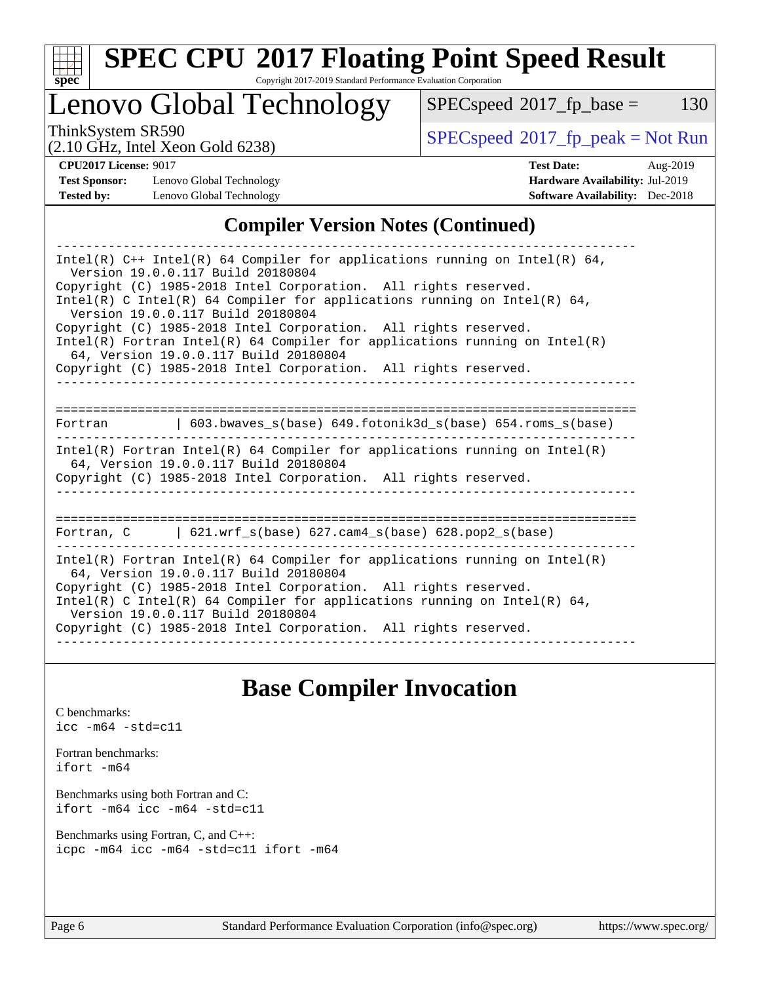

# **[SPEC CPU](http://www.spec.org/auto/cpu2017/Docs/result-fields.html#SPECCPU2017FloatingPointSpeedResult)[2017 Floating Point Speed Result](http://www.spec.org/auto/cpu2017/Docs/result-fields.html#SPECCPU2017FloatingPointSpeedResult)**

Copyright 2017-2019 Standard Performance Evaluation Corporation

Lenovo Global Technology

 $SPECspeed^{\circ}2017_fp\_base = 130$  $SPECspeed^{\circ}2017_fp\_base = 130$ 

ThinkSystem SR590<br>  $SPEC speed^{\circ}2017$ \_fp\_peak = Not Run

**[Test Sponsor:](http://www.spec.org/auto/cpu2017/Docs/result-fields.html#TestSponsor)** Lenovo Global Technology **[Hardware Availability:](http://www.spec.org/auto/cpu2017/Docs/result-fields.html#HardwareAvailability)** Jul-2019 **[Tested by:](http://www.spec.org/auto/cpu2017/Docs/result-fields.html#Testedby)** Lenovo Global Technology **[Software Availability:](http://www.spec.org/auto/cpu2017/Docs/result-fields.html#SoftwareAvailability)** Dec-2018

(2.10 GHz, Intel Xeon Gold 6238)

**[CPU2017 License:](http://www.spec.org/auto/cpu2017/Docs/result-fields.html#CPU2017License)** 9017 **[Test Date:](http://www.spec.org/auto/cpu2017/Docs/result-fields.html#TestDate)** Aug-2019

#### **[Compiler Version Notes \(Continued\)](http://www.spec.org/auto/cpu2017/Docs/result-fields.html#CompilerVersionNotes)**

| Intel(R) $C++$ Intel(R) 64 Compiler for applications running on Intel(R) 64,<br>Version 19.0.0.117 Build 20180804<br>Copyright (C) 1985-2018 Intel Corporation. All rights reserved.     |  |  |  |  |  |  |  |
|------------------------------------------------------------------------------------------------------------------------------------------------------------------------------------------|--|--|--|--|--|--|--|
| Intel(R) C Intel(R) 64 Compiler for applications running on Intel(R) 64,<br>Version 19.0.0.117 Build 20180804                                                                            |  |  |  |  |  |  |  |
| Copyright (C) 1985-2018 Intel Corporation. All rights reserved.<br>$Intel(R)$ Fortran Intel(R) 64 Compiler for applications running on Intel(R)<br>64, Version 19.0.0.117 Build 20180804 |  |  |  |  |  |  |  |
| Copyright (C) 1985-2018 Intel Corporation. All rights reserved.                                                                                                                          |  |  |  |  |  |  |  |
|                                                                                                                                                                                          |  |  |  |  |  |  |  |
| $\vert$ 603.bwaves_s(base) 649.fotonik3d_s(base) 654.roms_s(base)<br>Fortran                                                                                                             |  |  |  |  |  |  |  |
| Intel(R) Fortran Intel(R) 64 Compiler for applications running on Intel(R)<br>64, Version 19.0.0.117 Build 20180804<br>Copyright (C) 1985-2018 Intel Corporation. All rights reserved.   |  |  |  |  |  |  |  |
|                                                                                                                                                                                          |  |  |  |  |  |  |  |
| Fortran, $C = \{621. \text{wrf s}(\text{base}) \}$ 627. cam4 s(base) 628. pop2 s(base)                                                                                                   |  |  |  |  |  |  |  |
| Intel(R) Fortran Intel(R) 64 Compiler for applications running on Intel(R)<br>64, Version 19.0.0.117 Build 20180804                                                                      |  |  |  |  |  |  |  |
| Copyright (C) 1985-2018 Intel Corporation. All rights reserved.<br>Intel(R) C Intel(R) 64 Compiler for applications running on Intel(R) 64,<br>Version 19.0.0.117 Build 20180804         |  |  |  |  |  |  |  |
| Copyright (C) 1985-2018 Intel Corporation. All rights reserved.                                                                                                                          |  |  |  |  |  |  |  |

### **[Base Compiler Invocation](http://www.spec.org/auto/cpu2017/Docs/result-fields.html#BaseCompilerInvocation)**

[C benchmarks](http://www.spec.org/auto/cpu2017/Docs/result-fields.html#Cbenchmarks): [icc -m64 -std=c11](http://www.spec.org/cpu2017/results/res2019q3/cpu2017-20190819-16977.flags.html#user_CCbase_intel_icc_64bit_c11_33ee0cdaae7deeeab2a9725423ba97205ce30f63b9926c2519791662299b76a0318f32ddfffdc46587804de3178b4f9328c46fa7c2b0cd779d7a61945c91cd35)

[Fortran benchmarks](http://www.spec.org/auto/cpu2017/Docs/result-fields.html#Fortranbenchmarks): [ifort -m64](http://www.spec.org/cpu2017/results/res2019q3/cpu2017-20190819-16977.flags.html#user_FCbase_intel_ifort_64bit_24f2bb282fbaeffd6157abe4f878425411749daecae9a33200eee2bee2fe76f3b89351d69a8130dd5949958ce389cf37ff59a95e7a40d588e8d3a57e0c3fd751)

[Benchmarks using both Fortran and C](http://www.spec.org/auto/cpu2017/Docs/result-fields.html#BenchmarksusingbothFortranandC): [ifort -m64](http://www.spec.org/cpu2017/results/res2019q3/cpu2017-20190819-16977.flags.html#user_CC_FCbase_intel_ifort_64bit_24f2bb282fbaeffd6157abe4f878425411749daecae9a33200eee2bee2fe76f3b89351d69a8130dd5949958ce389cf37ff59a95e7a40d588e8d3a57e0c3fd751) [icc -m64 -std=c11](http://www.spec.org/cpu2017/results/res2019q3/cpu2017-20190819-16977.flags.html#user_CC_FCbase_intel_icc_64bit_c11_33ee0cdaae7deeeab2a9725423ba97205ce30f63b9926c2519791662299b76a0318f32ddfffdc46587804de3178b4f9328c46fa7c2b0cd779d7a61945c91cd35)

[Benchmarks using Fortran, C, and C++:](http://www.spec.org/auto/cpu2017/Docs/result-fields.html#BenchmarksusingFortranCandCXX) [icpc -m64](http://www.spec.org/cpu2017/results/res2019q3/cpu2017-20190819-16977.flags.html#user_CC_CXX_FCbase_intel_icpc_64bit_4ecb2543ae3f1412ef961e0650ca070fec7b7afdcd6ed48761b84423119d1bf6bdf5cad15b44d48e7256388bc77273b966e5eb805aefd121eb22e9299b2ec9d9) [icc -m64 -std=c11](http://www.spec.org/cpu2017/results/res2019q3/cpu2017-20190819-16977.flags.html#user_CC_CXX_FCbase_intel_icc_64bit_c11_33ee0cdaae7deeeab2a9725423ba97205ce30f63b9926c2519791662299b76a0318f32ddfffdc46587804de3178b4f9328c46fa7c2b0cd779d7a61945c91cd35) [ifort -m64](http://www.spec.org/cpu2017/results/res2019q3/cpu2017-20190819-16977.flags.html#user_CC_CXX_FCbase_intel_ifort_64bit_24f2bb282fbaeffd6157abe4f878425411749daecae9a33200eee2bee2fe76f3b89351d69a8130dd5949958ce389cf37ff59a95e7a40d588e8d3a57e0c3fd751)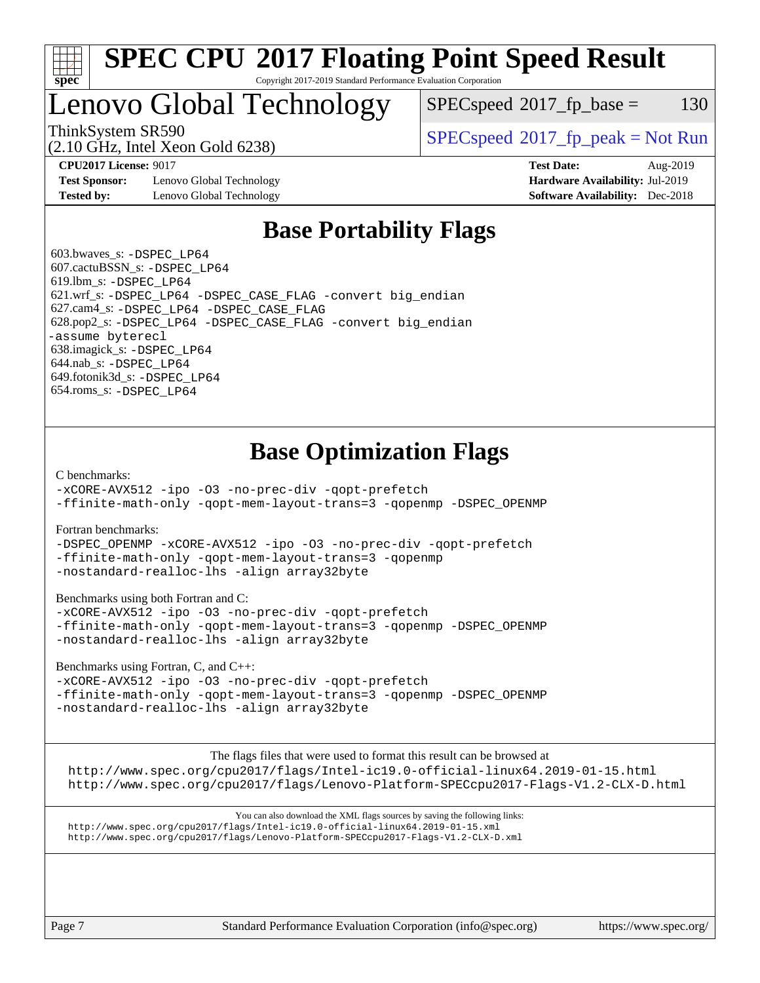

#### **[SPEC CPU](http://www.spec.org/auto/cpu2017/Docs/result-fields.html#SPECCPU2017FloatingPointSpeedResult)[2017 Floating Point Speed Result](http://www.spec.org/auto/cpu2017/Docs/result-fields.html#SPECCPU2017FloatingPointSpeedResult)** Copyright 2017-2019 Standard Performance Evaluation Corporation

### Lenovo Global Technology

 $SPEC speed^{\circ}2017\_fp\_base = 130$ 

(2.10 GHz, Intel Xeon Gold 6238)

ThinkSystem SR590<br>  $SPECspeed^{\circ}2017<sub>fp</sub> peak = Not Run$  $SPECspeed^{\circ}2017<sub>fp</sub> peak = Not Run$ 

**[Test Sponsor:](http://www.spec.org/auto/cpu2017/Docs/result-fields.html#TestSponsor)** Lenovo Global Technology **[Hardware Availability:](http://www.spec.org/auto/cpu2017/Docs/result-fields.html#HardwareAvailability)** Jul-2019 **[Tested by:](http://www.spec.org/auto/cpu2017/Docs/result-fields.html#Testedby)** Lenovo Global Technology **[Software Availability:](http://www.spec.org/auto/cpu2017/Docs/result-fields.html#SoftwareAvailability)** Dec-2018

**[CPU2017 License:](http://www.spec.org/auto/cpu2017/Docs/result-fields.html#CPU2017License)** 9017 **[Test Date:](http://www.spec.org/auto/cpu2017/Docs/result-fields.html#TestDate)** Aug-2019

### **[Base Portability Flags](http://www.spec.org/auto/cpu2017/Docs/result-fields.html#BasePortabilityFlags)**

 603.bwaves\_s: [-DSPEC\\_LP64](http://www.spec.org/cpu2017/results/res2019q3/cpu2017-20190819-16977.flags.html#suite_basePORTABILITY603_bwaves_s_DSPEC_LP64) 607.cactuBSSN\_s: [-DSPEC\\_LP64](http://www.spec.org/cpu2017/results/res2019q3/cpu2017-20190819-16977.flags.html#suite_basePORTABILITY607_cactuBSSN_s_DSPEC_LP64) 619.lbm\_s: [-DSPEC\\_LP64](http://www.spec.org/cpu2017/results/res2019q3/cpu2017-20190819-16977.flags.html#suite_basePORTABILITY619_lbm_s_DSPEC_LP64) 621.wrf\_s: [-DSPEC\\_LP64](http://www.spec.org/cpu2017/results/res2019q3/cpu2017-20190819-16977.flags.html#suite_basePORTABILITY621_wrf_s_DSPEC_LP64) [-DSPEC\\_CASE\\_FLAG](http://www.spec.org/cpu2017/results/res2019q3/cpu2017-20190819-16977.flags.html#b621.wrf_s_baseCPORTABILITY_DSPEC_CASE_FLAG) [-convert big\\_endian](http://www.spec.org/cpu2017/results/res2019q3/cpu2017-20190819-16977.flags.html#user_baseFPORTABILITY621_wrf_s_convert_big_endian_c3194028bc08c63ac5d04de18c48ce6d347e4e562e8892b8bdbdc0214820426deb8554edfa529a3fb25a586e65a3d812c835984020483e7e73212c4d31a38223) 627.cam4\_s: [-DSPEC\\_LP64](http://www.spec.org/cpu2017/results/res2019q3/cpu2017-20190819-16977.flags.html#suite_basePORTABILITY627_cam4_s_DSPEC_LP64) [-DSPEC\\_CASE\\_FLAG](http://www.spec.org/cpu2017/results/res2019q3/cpu2017-20190819-16977.flags.html#b627.cam4_s_baseCPORTABILITY_DSPEC_CASE_FLAG) 628.pop2\_s: [-DSPEC\\_LP64](http://www.spec.org/cpu2017/results/res2019q3/cpu2017-20190819-16977.flags.html#suite_basePORTABILITY628_pop2_s_DSPEC_LP64) [-DSPEC\\_CASE\\_FLAG](http://www.spec.org/cpu2017/results/res2019q3/cpu2017-20190819-16977.flags.html#b628.pop2_s_baseCPORTABILITY_DSPEC_CASE_FLAG) [-convert big\\_endian](http://www.spec.org/cpu2017/results/res2019q3/cpu2017-20190819-16977.flags.html#user_baseFPORTABILITY628_pop2_s_convert_big_endian_c3194028bc08c63ac5d04de18c48ce6d347e4e562e8892b8bdbdc0214820426deb8554edfa529a3fb25a586e65a3d812c835984020483e7e73212c4d31a38223) [-assume byterecl](http://www.spec.org/cpu2017/results/res2019q3/cpu2017-20190819-16977.flags.html#user_baseFPORTABILITY628_pop2_s_assume_byterecl_7e47d18b9513cf18525430bbf0f2177aa9bf368bc7a059c09b2c06a34b53bd3447c950d3f8d6c70e3faf3a05c8557d66a5798b567902e8849adc142926523472) 638.imagick\_s: [-DSPEC\\_LP64](http://www.spec.org/cpu2017/results/res2019q3/cpu2017-20190819-16977.flags.html#suite_basePORTABILITY638_imagick_s_DSPEC_LP64) 644.nab\_s: [-DSPEC\\_LP64](http://www.spec.org/cpu2017/results/res2019q3/cpu2017-20190819-16977.flags.html#suite_basePORTABILITY644_nab_s_DSPEC_LP64) 649.fotonik3d\_s: [-DSPEC\\_LP64](http://www.spec.org/cpu2017/results/res2019q3/cpu2017-20190819-16977.flags.html#suite_basePORTABILITY649_fotonik3d_s_DSPEC_LP64) 654.roms\_s: [-DSPEC\\_LP64](http://www.spec.org/cpu2017/results/res2019q3/cpu2017-20190819-16977.flags.html#suite_basePORTABILITY654_roms_s_DSPEC_LP64)

### **[Base Optimization Flags](http://www.spec.org/auto/cpu2017/Docs/result-fields.html#BaseOptimizationFlags)**

[C benchmarks](http://www.spec.org/auto/cpu2017/Docs/result-fields.html#Cbenchmarks):

[-xCORE-AVX512](http://www.spec.org/cpu2017/results/res2019q3/cpu2017-20190819-16977.flags.html#user_CCbase_f-xCORE-AVX512) [-ipo](http://www.spec.org/cpu2017/results/res2019q3/cpu2017-20190819-16977.flags.html#user_CCbase_f-ipo) [-O3](http://www.spec.org/cpu2017/results/res2019q3/cpu2017-20190819-16977.flags.html#user_CCbase_f-O3) [-no-prec-div](http://www.spec.org/cpu2017/results/res2019q3/cpu2017-20190819-16977.flags.html#user_CCbase_f-no-prec-div) [-qopt-prefetch](http://www.spec.org/cpu2017/results/res2019q3/cpu2017-20190819-16977.flags.html#user_CCbase_f-qopt-prefetch) [-ffinite-math-only](http://www.spec.org/cpu2017/results/res2019q3/cpu2017-20190819-16977.flags.html#user_CCbase_f_finite_math_only_cb91587bd2077682c4b38af759c288ed7c732db004271a9512da14a4f8007909a5f1427ecbf1a0fb78ff2a814402c6114ac565ca162485bbcae155b5e4258871) [-qopt-mem-layout-trans=3](http://www.spec.org/cpu2017/results/res2019q3/cpu2017-20190819-16977.flags.html#user_CCbase_f-qopt-mem-layout-trans_de80db37974c74b1f0e20d883f0b675c88c3b01e9d123adea9b28688d64333345fb62bc4a798493513fdb68f60282f9a726aa07f478b2f7113531aecce732043) [-qopenmp](http://www.spec.org/cpu2017/results/res2019q3/cpu2017-20190819-16977.flags.html#user_CCbase_qopenmp_16be0c44f24f464004c6784a7acb94aca937f053568ce72f94b139a11c7c168634a55f6653758ddd83bcf7b8463e8028bb0b48b77bcddc6b78d5d95bb1df2967) [-DSPEC\\_OPENMP](http://www.spec.org/cpu2017/results/res2019q3/cpu2017-20190819-16977.flags.html#suite_CCbase_DSPEC_OPENMP)

[Fortran benchmarks](http://www.spec.org/auto/cpu2017/Docs/result-fields.html#Fortranbenchmarks):

[-DSPEC\\_OPENMP](http://www.spec.org/cpu2017/results/res2019q3/cpu2017-20190819-16977.flags.html#suite_FCbase_DSPEC_OPENMP) [-xCORE-AVX512](http://www.spec.org/cpu2017/results/res2019q3/cpu2017-20190819-16977.flags.html#user_FCbase_f-xCORE-AVX512) [-ipo](http://www.spec.org/cpu2017/results/res2019q3/cpu2017-20190819-16977.flags.html#user_FCbase_f-ipo) [-O3](http://www.spec.org/cpu2017/results/res2019q3/cpu2017-20190819-16977.flags.html#user_FCbase_f-O3) [-no-prec-div](http://www.spec.org/cpu2017/results/res2019q3/cpu2017-20190819-16977.flags.html#user_FCbase_f-no-prec-div) [-qopt-prefetch](http://www.spec.org/cpu2017/results/res2019q3/cpu2017-20190819-16977.flags.html#user_FCbase_f-qopt-prefetch) [-ffinite-math-only](http://www.spec.org/cpu2017/results/res2019q3/cpu2017-20190819-16977.flags.html#user_FCbase_f_finite_math_only_cb91587bd2077682c4b38af759c288ed7c732db004271a9512da14a4f8007909a5f1427ecbf1a0fb78ff2a814402c6114ac565ca162485bbcae155b5e4258871) [-qopt-mem-layout-trans=3](http://www.spec.org/cpu2017/results/res2019q3/cpu2017-20190819-16977.flags.html#user_FCbase_f-qopt-mem-layout-trans_de80db37974c74b1f0e20d883f0b675c88c3b01e9d123adea9b28688d64333345fb62bc4a798493513fdb68f60282f9a726aa07f478b2f7113531aecce732043) [-qopenmp](http://www.spec.org/cpu2017/results/res2019q3/cpu2017-20190819-16977.flags.html#user_FCbase_qopenmp_16be0c44f24f464004c6784a7acb94aca937f053568ce72f94b139a11c7c168634a55f6653758ddd83bcf7b8463e8028bb0b48b77bcddc6b78d5d95bb1df2967) [-nostandard-realloc-lhs](http://www.spec.org/cpu2017/results/res2019q3/cpu2017-20190819-16977.flags.html#user_FCbase_f_2003_std_realloc_82b4557e90729c0f113870c07e44d33d6f5a304b4f63d4c15d2d0f1fab99f5daaed73bdb9275d9ae411527f28b936061aa8b9c8f2d63842963b95c9dd6426b8a) [-align array32byte](http://www.spec.org/cpu2017/results/res2019q3/cpu2017-20190819-16977.flags.html#user_FCbase_align_array32byte_b982fe038af199962ba9a80c053b8342c548c85b40b8e86eb3cc33dee0d7986a4af373ac2d51c3f7cf710a18d62fdce2948f201cd044323541f22fc0fffc51b6)

[Benchmarks using both Fortran and C](http://www.spec.org/auto/cpu2017/Docs/result-fields.html#BenchmarksusingbothFortranandC):

[-xCORE-AVX512](http://www.spec.org/cpu2017/results/res2019q3/cpu2017-20190819-16977.flags.html#user_CC_FCbase_f-xCORE-AVX512) [-ipo](http://www.spec.org/cpu2017/results/res2019q3/cpu2017-20190819-16977.flags.html#user_CC_FCbase_f-ipo) [-O3](http://www.spec.org/cpu2017/results/res2019q3/cpu2017-20190819-16977.flags.html#user_CC_FCbase_f-O3) [-no-prec-div](http://www.spec.org/cpu2017/results/res2019q3/cpu2017-20190819-16977.flags.html#user_CC_FCbase_f-no-prec-div) [-qopt-prefetch](http://www.spec.org/cpu2017/results/res2019q3/cpu2017-20190819-16977.flags.html#user_CC_FCbase_f-qopt-prefetch) [-ffinite-math-only](http://www.spec.org/cpu2017/results/res2019q3/cpu2017-20190819-16977.flags.html#user_CC_FCbase_f_finite_math_only_cb91587bd2077682c4b38af759c288ed7c732db004271a9512da14a4f8007909a5f1427ecbf1a0fb78ff2a814402c6114ac565ca162485bbcae155b5e4258871) [-qopt-mem-layout-trans=3](http://www.spec.org/cpu2017/results/res2019q3/cpu2017-20190819-16977.flags.html#user_CC_FCbase_f-qopt-mem-layout-trans_de80db37974c74b1f0e20d883f0b675c88c3b01e9d123adea9b28688d64333345fb62bc4a798493513fdb68f60282f9a726aa07f478b2f7113531aecce732043) [-qopenmp](http://www.spec.org/cpu2017/results/res2019q3/cpu2017-20190819-16977.flags.html#user_CC_FCbase_qopenmp_16be0c44f24f464004c6784a7acb94aca937f053568ce72f94b139a11c7c168634a55f6653758ddd83bcf7b8463e8028bb0b48b77bcddc6b78d5d95bb1df2967) [-DSPEC\\_OPENMP](http://www.spec.org/cpu2017/results/res2019q3/cpu2017-20190819-16977.flags.html#suite_CC_FCbase_DSPEC_OPENMP) [-nostandard-realloc-lhs](http://www.spec.org/cpu2017/results/res2019q3/cpu2017-20190819-16977.flags.html#user_CC_FCbase_f_2003_std_realloc_82b4557e90729c0f113870c07e44d33d6f5a304b4f63d4c15d2d0f1fab99f5daaed73bdb9275d9ae411527f28b936061aa8b9c8f2d63842963b95c9dd6426b8a) [-align array32byte](http://www.spec.org/cpu2017/results/res2019q3/cpu2017-20190819-16977.flags.html#user_CC_FCbase_align_array32byte_b982fe038af199962ba9a80c053b8342c548c85b40b8e86eb3cc33dee0d7986a4af373ac2d51c3f7cf710a18d62fdce2948f201cd044323541f22fc0fffc51b6)

[Benchmarks using Fortran, C, and C++:](http://www.spec.org/auto/cpu2017/Docs/result-fields.html#BenchmarksusingFortranCandCXX)

[-xCORE-AVX512](http://www.spec.org/cpu2017/results/res2019q3/cpu2017-20190819-16977.flags.html#user_CC_CXX_FCbase_f-xCORE-AVX512) [-ipo](http://www.spec.org/cpu2017/results/res2019q3/cpu2017-20190819-16977.flags.html#user_CC_CXX_FCbase_f-ipo) [-O3](http://www.spec.org/cpu2017/results/res2019q3/cpu2017-20190819-16977.flags.html#user_CC_CXX_FCbase_f-O3) [-no-prec-div](http://www.spec.org/cpu2017/results/res2019q3/cpu2017-20190819-16977.flags.html#user_CC_CXX_FCbase_f-no-prec-div) [-qopt-prefetch](http://www.spec.org/cpu2017/results/res2019q3/cpu2017-20190819-16977.flags.html#user_CC_CXX_FCbase_f-qopt-prefetch) [-ffinite-math-only](http://www.spec.org/cpu2017/results/res2019q3/cpu2017-20190819-16977.flags.html#user_CC_CXX_FCbase_f_finite_math_only_cb91587bd2077682c4b38af759c288ed7c732db004271a9512da14a4f8007909a5f1427ecbf1a0fb78ff2a814402c6114ac565ca162485bbcae155b5e4258871) [-qopt-mem-layout-trans=3](http://www.spec.org/cpu2017/results/res2019q3/cpu2017-20190819-16977.flags.html#user_CC_CXX_FCbase_f-qopt-mem-layout-trans_de80db37974c74b1f0e20d883f0b675c88c3b01e9d123adea9b28688d64333345fb62bc4a798493513fdb68f60282f9a726aa07f478b2f7113531aecce732043) [-qopenmp](http://www.spec.org/cpu2017/results/res2019q3/cpu2017-20190819-16977.flags.html#user_CC_CXX_FCbase_qopenmp_16be0c44f24f464004c6784a7acb94aca937f053568ce72f94b139a11c7c168634a55f6653758ddd83bcf7b8463e8028bb0b48b77bcddc6b78d5d95bb1df2967) [-DSPEC\\_OPENMP](http://www.spec.org/cpu2017/results/res2019q3/cpu2017-20190819-16977.flags.html#suite_CC_CXX_FCbase_DSPEC_OPENMP) [-nostandard-realloc-lhs](http://www.spec.org/cpu2017/results/res2019q3/cpu2017-20190819-16977.flags.html#user_CC_CXX_FCbase_f_2003_std_realloc_82b4557e90729c0f113870c07e44d33d6f5a304b4f63d4c15d2d0f1fab99f5daaed73bdb9275d9ae411527f28b936061aa8b9c8f2d63842963b95c9dd6426b8a) [-align array32byte](http://www.spec.org/cpu2017/results/res2019q3/cpu2017-20190819-16977.flags.html#user_CC_CXX_FCbase_align_array32byte_b982fe038af199962ba9a80c053b8342c548c85b40b8e86eb3cc33dee0d7986a4af373ac2d51c3f7cf710a18d62fdce2948f201cd044323541f22fc0fffc51b6)

[The flags files that were used to format this result can be browsed at](tmsearch)

<http://www.spec.org/cpu2017/flags/Intel-ic19.0-official-linux64.2019-01-15.html> <http://www.spec.org/cpu2017/flags/Lenovo-Platform-SPECcpu2017-Flags-V1.2-CLX-D.html>

[You can also download the XML flags sources by saving the following links:](tmsearch) <http://www.spec.org/cpu2017/flags/Intel-ic19.0-official-linux64.2019-01-15.xml> <http://www.spec.org/cpu2017/flags/Lenovo-Platform-SPECcpu2017-Flags-V1.2-CLX-D.xml>